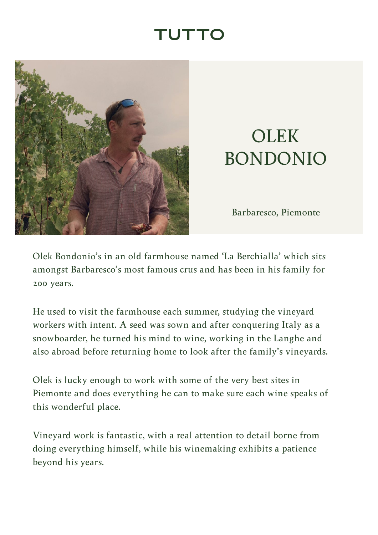## TUTTC

<span id="page-0-0"></span>

## **OLEK** BONDONIO

Barbaresco, Piemonte

Olek Bondonio's in an old farmhouse named 'La Berchialla' which sits amongst Barbaresco's most famous crus and has been in his family for 200 years.

He used to visit the farmhouse each summer, studying the vineyard workers with intent. A seed was sown and after conquering Italy as a snowboarder, he turned his mind to wine, working in the Langhe and also abroad before returning home to look after the family's vineyards.

Olek is lucky enough to work with some of the very best sites in Piemonte and does everything he can to make sure each wine speaks of this wonderful place.

Vineyard work is fantastic, with a real attention to detail borne from doing everything himself, while his winemaking exhibits a patience beyond his years.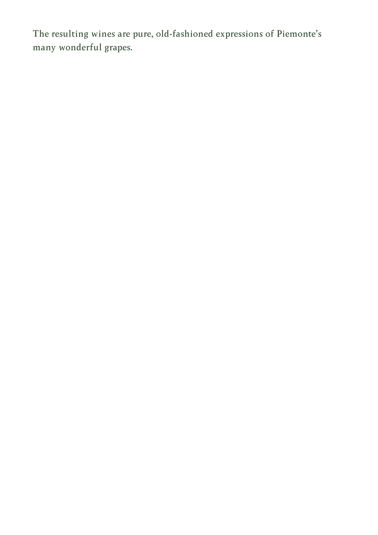The resulting wines are pure, old-fashioned expressions of Piemonte's many wonderful grapes.